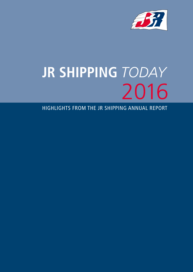

# **JR SHIPPING** *TODAY* 2016

HIGHLIGHTS FROM THE JR SHIPPING ANNUAL REPORT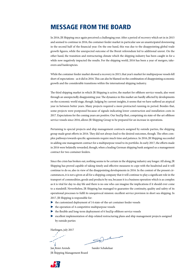## MESSAGE FROM THE BOARD

In 2016, JR Shipping once again perceived a challenging year. After a period of recovery which set in in 2015 and seemed to continue in 2016, the container feeder market in particular saw an unanticipated downswing in the second half of the financial year. On the one hand, this was due to the disappointing global trade growth figures, while the unexpected outcome of the Brexit referendum led to additional unrest. On the other hand, the transition and restructuring climate which the shipping industry has been caught in for a while now negatively impacted the results. For the shipping world, 2016 has been a year of mergers, takeovers and bankruptcies.

While the container feeder market showed a recovery in 2015, that year's market for multipurpose vessels fell short of expectations - as it did in 2016. This can also be blamed on the combination of disappointing economic growth and the considerable transitions within the international shipping industry.

The third shipping market in which JR Shipping is active, the market for offshore service vessels, also went through an unexpectedly disappointing year. The dynamics in this market are hardly affected by developments on the economic world stage, though. Judging by current insights, it seems that we have suffered an atypical year in between better years. Many projects required a more protracted running-in period. Besides that, some projects were postponed because of signals indicating lower construction and installation costs in 2017. Expectations for the coming years are positive. Our SeaZip fleet, comprising six state-of-the-art offshore service vessels since 2016, allows JR Shipping Group to be prepared for an increase in operations.

Pertaining to special projects and ship management contracts assigned by outside parties, the shipping group made great efforts in 2016. They did not always lead to the desired outcomes, though. The often complex pathways towards specific agreements require much time and patience. In 2016, JR Shipping succeeded in adding one management contract for a multipurpose vessel to its portfolio. In early 2017, the efforts made in 2016 were belatedly rewarded, though, when a leading German shipping bank assigned us a management contract for two container feeders.

Since the crisis has broken out, nothing seems to be certain in the shipping industry any longer. All along, JR Shipping has proved capable of taking timely and effective measures to cope with the headwind and it will continue to do so, also in view of the disappointing developments in 2016. In the context of the present circumstances, it is not a given at all for a shipping company that it will continue to play a significant role in the transport of commodities, goods and products by sea, because it is a business operation which is as complex as it is vital for day-to-day life and there is no one who can imagine the implications if it should ever come to a standstill. Nevertheless, JR Shipping has managed to guarantee the continuity, quality and safety of its operational processes to fulfil its unequivocal mission: excellent service provision in short sea shipping. In 2017, JR Shipping is responsible for:

- P the customized deployment of 14 state-of-the-art container feeder vessels
- $\blacktriangleright$  the operation of 4 competitive multipurpose vessels
- P the flexible and long-term deployment of 6 SeaZip offshore service vessels
- P excellent implementation of ship-related restructuring plans and ship management projects assigned by outside parties

Harlingen, july 2017

Jan Reier Arends Sander Schakelaar JR Shipping Management Board

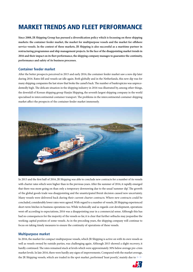## MARKET TRENDS AND FLEET PERFORMANCE

**Since 2008, JR Shipping Group has pursued a diversification policy which is focussing on three shipping markets: the container feeder market, the market for multipurpose vessels and the market for offshore service vessels. In the context of these markets, JR Shipping is also successful as a maritime partner in restructuring programmes and ship management projects. In the face of the disappointing market trends in 2016 and their impact on its fleet performance, the shipping company manages to guarantee the continuity, performance and safety of its business processes.**

#### **Container feeder market**

After the better prospects perceived in 2015 and early 2016, the container feeder market saw a new dip later during 2016. Rates fell and vessels sat idle again. Both globally and in the Netherlands, this new dip was for many shipping companies the last straw that broke the camel's back. The number of bankruptcies was unprecedentedly high. The delicate situation in the shipping industry in 2016 was illustrated by, among other things, the downfall of Korean shipping group Hanjin Shipping, the seventh largest shipping company in the world specialised in intercontinental container transport. The problems in the intercontinental container shipping market affect the prospects of the container feeder market immensely.



In 2015 and the first half of 2016, JR Shipping was able to conclude new contracts for a number of its vessels with charter rates which were higher than in the previous years. After the summer of 2016, it rapidly emerged that there was more going on than only a temporary downswing due to the usual 'summer dip'. The growth of the global goods trade was disappointing and the unanticipated Brexit decision caused new uncertainty. Many vessels were delivered back during their current charter contracts. Where new contracts could be concluded, considerably lower rates were agreed. With regard to a number of vessels, JR Shipping experienced short-term hitches in business operations too. While technically and as regards cost development, operations went off according to expectations, 2016 was a disappointing year in a commercial sense. Although this has had no consequences for the majority of the vessels so far, it is clear that further setbacks may jeopardise the working capital position of some vessels. As in the preceding years, the shipping company will continue to focus on taking timely measures to ensure the continuity of operations of these vessels.

#### **Multipurpose market**

In 2016, the market for compact multipurpose vessels, which JR Shipping is active on with its own vessels as well as vessels owned by outside parties, was challenging again. Although 2015 showed a slight recovery, it hardly continued. The rates remained stuck at levels which were approximately 30% below average pre-crisis market levels. In late 2016, there were hardly any signs of improvements. Compared with the market average, the JR Shipping vessels, which are traded in the spot market, performed 'least poorly', mainly due to  $\blacktriangleright$ 

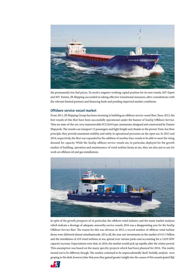

the permanently low fuel prices. To avoid a negative working capital position for its own vessels, MV Esprit and MV Estime, JR Shipping succeeded in taking effective transitional measures, after consultations with the relevant limited partners and financing bank and pending improved market conditions.

#### **Offshore service vessel market**

From 2011, JR Shipping Group has been investing in building an offshore service vessel fleet. Since 2012, the first vessels of this fleet have been successfully operational under the banner of SeaZip Offshore Service. They are state-of-the-art, very manoeuvrable FCS 2610 type catamarans, designed and constructed by Damen Shipyards. The vessels can transport 12 passengers and light freight and, thanks to the proven Twin Axe Bow principle, they provide maximum stability and safety in operational processes on the open sea. In 2015 and 2016, respectively, the fleet was expanded by the addition of another four vessels to be able to meet the rising demand for capacity. While the SeaZip offshore service vessels are, in particular, deployed for the growth market of building, operation and maintenance of wind turbine farms at sea, they are also put to use for work on offshore oil and gas installations.



In spite of the growth prospects of, in particular, the offshore wind industry and the many market analyses which indicate a shortage of adequate, seaworthy service vessels, 2016 was a disappointing year for the SeaZip Offshore Service fleet. The reason for this was obvious: in 2015, a record number of offshore wind turbine farms were delivered almost simultaneously. All in all, the year saw investments in the market of €13.3 billion and the installation of 419 wind turbines at sea, spread over various parks and accounting for a 3,019 MW capacity increase. Expectations were that, in 2016, the market would pick up rapidly, after the winter period. This assumption was based on the many specific projects which had been planned for 2016. The reality turned out to be different, though. The market continued to be unprecedentedly 'slack'. Initially, analysts were groping in the dark, however, later that year, they gained greater insight into the causes of this unanticipated 'dip'.

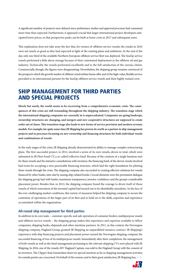A significant number of projects were delayed since preliminary studies and approval processes had consumed more time than expected. Furthermore, it appeared crucial that larger international project developers anticipated lower prices, so that prospective parks can be built at lower costs in 2017 and subsequent years.

This explanation does not take away the fact that, for owners of offshore service vessels, the results in 2016 were not nearly as good as they had expected in light of the existing plans and ambitions. At the end of the day, only one third of the available Northern European offshore service fleet was deployed. The SeaZip service vessels performed a little above average because of their customized deployment in the offshore oil and gas industry. Technically, the vessels performed excellently and to the full satisfaction of the various clients. Commercially, though, the figures were disappointing. Nevertheless, the shipping group remains convinced of the prospects which the growth market of offshore wind turbine farms offer and of the high-value, flexible service provided to its international partners by the SeaZip offshore service vessels and their highly trained crew.

### SHIP MANAGEMENT FOR THIRD PARTIES AND SPECIAL PROJECTS

**Slowly but surely, the world seems to be recovering from a comprehensive economic crisis. The consequences of this crisis are still resounding throughout the shipping industry. The transition stage which the international shipping companies are currently in is unprecedented. Companies are going bankrupt, ownership structures are changing, and mergers and new cooperative structures are supposed to create order out of chaos. This transition stage also leads to new forms of service provision and modern revenue models. For example, for quite some time JR Shipping has proven its worth as a partner in ship management projects and in processes focussing on new ownership and financing structures for both individual vessels and combinations of vessels.**

In the early stages of the crisis, JR Shipping already demonstrated its ability to manage complex restructuring plans. The first successful project, in 2012, involved a series of its own vessels, eleven in total, which were subsumed in JR Fleet Fund CV, a so-called 'collective fund'. Because of the creation of a single business unit for these vessels and the intensive consultations with investors, the financing bank of the eleven vessels involved had room for accepting a new, practicable financing structure, which laid the right foundation for piloting these vessels through the crisis. The shipping company also succeeded in creating effective solutions for vessels financed by other banks, inter alia by issuing ship-related bonds. Crucial elements were the permanent dialogue the shipping group had with banks, maximum transparency, investor confidence and the group's considerable placement power. Besides that, in 2012, the shipping company found the courage to divest itself of those vessels of which restoration of the invested capital had turned out to be identifiably unrealistic. In the face of the ever-challenging market conditions, this variety of measures helped the shipping company to secure the continuity of operations of the larger part of its fleet and to hold on to the skills, expertise and experience accumulated within the organisation.

#### **All-round ship management for third parties**

In addition to its core tasks – customer-specific and safe operation of container feeders, multipurpose vessels and offshore service vessels – the shipping group makes this experience and expertise available to fellow companies, shipping banks, shipyards and other maritime partners. In 2011, in this context, the Norwegian shipping company, Hagland Group, granted JR Shipping an unparalleled issuance contract. JR Shipping's experience with ship financing projects and placement power earned the Norwegian shipping company the successful financing of two of its multipurpose vessels. Immediately after their completion, the management of both vessels as well as the fund management pertaining to the relevant shipping CVs were placed with JR Shipping. In 2016, one of the vessels, MV Hagland Captain, was sold to the Hagland Group with the consent of its investors. The Clipper Stad Amsterdam deserves special mention as far as shipping management activities for outside parties are concerned. On behalf of the owners, and to their great satisfaction, JR Shipping has,

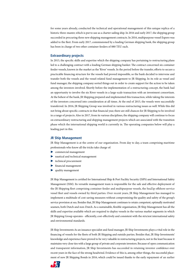for some years already, conducted the technical and operational management of this unique replica of a historic three-master, which is put to use as a charter sailing ship. In 2016 and early 2017, the shipping group succeeded in procuring three new shipping management contracts. In 2016, multipurpose vessel Espero was added to the fleet. From early 2017, commissioned by a leading German shipping bank, the shipping group has been in charge of two other container feeders of 880 TEU each.

#### **Extraordinary projects**

In 2015, the specific skills and expertise which the shipping company has pertaining to restructuring plans led to a challenging contract with a leading German shipping banker. The contract concerned six container feeder vessels, known in the market as the 'River' vessels. In the period before the transfer, efforts to secure a practicable financing structure for the vessels had proved impossible, so the bank decided to intervene and transfer both the vessels and the vessel-related fund management to JR Shipping. In its role as vessel and fund manager, the shipping company sorted things out in order to create support for the action to be taken among the investors involved. Shortly before the implementation of a restructuring concept, the bank had an opportunity to involve the six River vessels in a large-scale transaction with an investment consortium. At the behest of the bank, JR Shipping prepared and implemented this transaction, while taking the interests of the investors concerned into consideration at all times. At the end of 2015, the vessels were successfully transferred. In 2016, JR Shipping Group was involved in various restructuring issues as well. While this did not bring about specific contracts in that financial year, there are still chances for JR Shipping to be involved in a range of projects. Also in 2017, from its various disciplines, the shipping company will continue to focus on extraordinary restructuring and shipping management projects which are associated with the transition phase which the international shipping world is currently in. The operating companies below will play a leading part in this.

#### **JR Ship Management**

JR Ship Management is at the centre of our organisation. From day to day, a team comprising maritime professionals who know all the tricks take charge of:

- $\triangleright$  commercial management
- P nautical and technical management
- $\blacktriangleright$  technical procurement
- P financial management
- quality management

JR Ship Management is certified for International Ship & Port Facility Security (ISPS) and International Safety Management (ISM). Its versatile management team is responsible for the safe and effective deployment of the JR Shipping fleet comprising container feeder and multipurpose vessels, the SeaZip offshore service vessel fleet and vessels owned by third parties. Over recent years, JR Ship Management has managed to implement a multitude of cost-saving measures without compromising the quality and safety of the group's service provision at sea. Besides that, JR Ship Management continues to retain competent, optimally motivated seamen, both Dutch and non-Dutch. As a sustainable, flexible organisation, JR Ship Management has all the skills and expertise available which are required to deploy vessels in the various market segments in which JR Shipping Group operates - efficiently, cost-effectively and consistent with the strictest international safety and environmental standards.

JR Ship Investments As an issuance specialist and fund manager, JR Ship Investments plays a vital role in the financing of vessels for the fleets of both JR Shipping and outside parties. Besides that, JR Ship Investments' knowledge and experience have proved to be very valuable in restructuring projects, not in the least because it maintains very close ties with a large group of private and corporate investors. Because of open communication and transparent information, JR Ship Investments has succeeded in retaining investor confidence over recent years in the face of the strong headwind. Evidence of this is, among other things, the successful placement of new JR Shipping Bonds in 2016, which could be issued thanks to the early repayment of an earlier

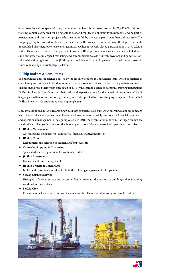bond loan. In a short space of time, the issue of the latest bond loan resulted in €2,490,000 additional working capital, earmarked for being able to respond rapidly to opportunity investments and be part of management and transition projects which stand or fall by the participants' own financial resources. The shipping group has considerably increased its clout with this successful bond loan. JR Ship Investments' unparalleled placement power also emerged in 2015, when it speedily placed participations in the SeaZip 5 and 6 offshore service vessels. The placement power of JR Ship Investments, which can be attributed to its skills and expertise in targeted marketing and communication, close ties with investors and good relationships with shipping banks, makes JR Shipping a reliable and dynamic partner in transition processes, in which refinancing of vessels plays a vital part.

#### **JR Ship Brokers & Consultants**

The knowledge and experience boasted by the JR Ship Brokers & Consultants team, which specialises in consultancy and guidance in the development of new vessels and intermediation in the purchase and sale of existing ones, proved their worth once again in 2016 with regard to a range of successful shipping transactions. JR Ship Brokers & Consultants put their skills and expertise to use for the benefit of vessels owned by JR Shipping as well as for transactions pertaining to vessels operated by fellow shipping companies. Besides that, JR Ship Brokers & Consultants advises shipping banks.

Since it was founded in 1993, JR Shipping Group has conscientiously built up an all-round shipping company which has all critical disciplines under its own roof in order to responsibly carry out the financial, commercial and operational management of sea-going vessels. In 2016, the organisation ashore in Harlingen did not see any significant changes. It comprises the following mixture of closely intertwined operating companies:

P **JR Ship Management**

All-round ship management (commercial, financial, nautical/technical)

P **JR Ship Crew**

Recruitment, and selection of seamen and 'employership'

- P **Confeeder Shipping & Chartering** Specialised chartering services for container feeders
- P **JR Ship Investments**

Issuances and fund management

- P **JR Ship Brokers & Consultants** Broker and consultancy services for both the shipping company and third parties
- P **SeaZip Offshore Service**

Hiring out of crewed service and accommodation vessels for the purpose of building and maintaining wind turbine farms at sea

P **SeaZip Crew**

Recruitment, selection and training of seamen for the offshore wind industry and 'employership'



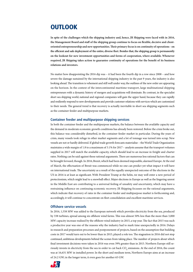## **OUTLOOK**

**In spite of the challenges which the shipping industry and, hence, JR Shipping were faced with in 2016, the Management Board and staff of the shipping group continue to focus on flexible, decisive and clientoriented entrepreneurship and new opportunities. Their primary focus is on continuity of operations - on the efficient and safe deployment of the entire, diverse fleet. Besides that, the shipping group is permanently on the lookout for new investment opportunities and forms of cooperation, where available. Whenever required, JR Shipping takes action to guarantee continuity of operations for the benefit of its business relations and investors.**

No matter how disappointing the 2016 dip was – it had been the fourth dip in a row since 2008 – and how severe the damage sustained by the international shipping industry in the past 9 years, the industry is also looking ahead. The transition is vehement and still well under way, the outlines of the new order are appearing on the horizon. In the context of the intercontinental maritime transport, large multinational shipping entrepreneurs with a dynamic history of mergers and acquisitions will dominate. By contrast, in the specialist short sea shipping world, national and regional companies will gain the upper hand, because they can rapidly and resiliently respond to new developments and provide customer relations with services which are customized to their needs. The general trend is that recovery is actually inevitable in short sea shipping segments such as the container feeder and multipurpose markets.

#### **Container feeder and multipurpose shipping services**

In both the container feeder and the multipurpose markets, the balance between the available capacity and the demand in moderate economic growth conditions has already been restored. Before the crisis broke out, this balance was considerably disturbed, in the container feeder market in particular. During the years of crisis, many vessels took refuge in other market segments and a lot of tonnage was turned into scrap. New vessels are not or hardly delivered. If global trade growth forecasts materialise – the World Trade Organization maintains a wide margin of 1.8 to a maximum of 3.1% for 2017 – analysts assume that the transport volumes supplied in 2017 will match the available capacity, which should lead to an increase in freight and charter rates. Nothing can be said against these rational arguments. There are numerous less rational factors that can be brought forward, though. In 2016, Brexit, which had been deemed impossible, alarmed Europe. At the end of March, the effectuation of Brexit was commenced while no one can predict yet what impact it will have on international trade. The uncertainty as a result of the equally unexpected outcome of the elections in the US in 2016 is at least as significant. With President Trump at the helm, we may well enter a new period of protectionism, which might lead to a snowball effect. Major elections in Europe as well as the lingering unrest in the Middle East are contributing to a universal feeling of unsafety and uncertainty, which may have a restraining influence on continuing economic recovery. JR Shipping focusses on the rational arguments, which indicate that recovery of rates in the container feeder and multipurpose market is forthcoming and, accordingly, it will continue to concentrate on fleet consolidation and excellent maritime services.

#### **Offshore service vessels**

In 2016, 1,558 MW was added to the European network which provides electricity from the sea, produced by 338 turbines, spread among six offshore wind farms. This was almost 50% less than the more than 3,000 MW capacity increase realised by the offshore wind industry in 2015, a top year. The fact that 2015 was such a productive year was one of the reasons why the industry had to mark time unexpectedly in 2016. Delays in research and preparation processes and postponement of projects, based on the assumption that building costs in 2017 would turn out to be lower than in 2015, played a role too. The stagnation in 2016 did not stop continued, ambitious developments behind the scenes from taking place. The number of projects about which final investment decisions were taken in 2016 was even 39% greater than in 2015. Northern Europe still seriously invests in electricity from the sea in order to cut back CO**<sup>2</sup>** emissions. At the end of 2016, the count was at 16,631 MW in installed power. In the short and medium term, Northern Europe aims at an increase of 24.2 GW; in the longer term, it even goes for another 65 GW.

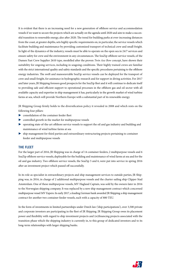It is evident that there is an increasing need for a new generation of offshore service and accommodation vessels if we want to secure the projects which are actually on the agenda until 2020 and aim to make a successful transition to renewable energy, also after 2020. The trend for building parks at ever-increasing distances from the coast, at greater depths, sets highly specific requirements on, in particular, the service vessels which facilitate building and maintenance by providing customized transport of technical crew and small freight. In light of the dynamics of the industry, vessels must be able to operate on the open sea in 24/7 services and ensure safety for crew and the environment in any circumstances. The SeaZip offshore service vessels, of the Damen Fast Crew Supplier 2610 type, modelled after the proven *Twin Axe Bow* concept, have shown their suitability for ongoing services, including in seagoing conditions. Their highly trained crews are familiar with the strict international quality and safety standards and the specific procedures pertaining to the offshore energy industries. The swift and manoeuvrable SeaZip service vessels can be deployed for the transport of crew and small freight, for assistance in hydrographic research and for support in diving activities. For 2017 and later years, JR Shipping foresees good prospects for the SeaZip fleet and it will continue to dedicate itself to providing safe and efficient support to operational processes in the offshore gas and oil sector with all available capacity and expertise in ship management it has, particularly in the growth market of wind turbine farms at sea, which will provide Northern Europe with a substantial part of its renewable energy.

JR Shipping Group firmly holds to the diversification policy it revealed in 2008 and which rests on the following four pillars:

- P consolidation of the container feeder fleet
- $\triangleright$  controlled growth in the market for multipurpose vessels
- P operating state-of-the-art offshore service vessels to support the oil and gas industry and building and maintenance of wind turbine farms at sea
- P ship management for third parties and extraordinary restructuring projects pertaining to container feeder and multipurpose vessels

#### **THE FLEET**

For the larger part of 2016, JR Shipping was in charge of 14 container feeders, 2 multipurpose vessels and 6 SeaZip offshore service vessels, deployable for the building and maintenance of wind farms at sea and for the oil and gas industry. Two offshore service vessels, the SeaZip 5 and 6, were put into service in spring 2016 after an investment project which passed off successfully.

In its role as specialist in extraordinary projects and ship management services to outside parties, JR Shipping was, in 2016, in charge of 2 additional multipurpose vessels and the charter sailing ship Clipper Stad Amsterdam. One of these multipurpose vessels, MV Hagland Captain, was sold by the owners later in 2016 to the Norwegian shipping company. It was replaced by a new ship management contract which concerned multipurpose vessel MV Espero. In early 2017, a leading German bank awarded JR Shipping a ship management contract for another two container feeder vessels, each with a capacity of 880 TEU.

In the form of investments in limited partnerships under Dutch law ('ship participations'), over 3,500 private and corporate investors are participating in the fleet of JR Shipping. JR Shipping Group owes its placement power and flexibility with regard to ship investment projects and (re)financing projects associated with the transition phase which the shipping industry is currently in, to this group of dedicated investors and to its long-term relationships with larger shipping banks.

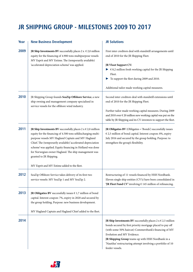# **JR SHIPPING GROUP - MILESTONES 2009 TO 2017**

| Year | <b>New Business Development</b>                                                                                                                                                                                                                                                                                                                                                                                       | <b>JR Solutions</b>                                                                                                                                                                                                                                                                                                                                                       |
|------|-----------------------------------------------------------------------------------------------------------------------------------------------------------------------------------------------------------------------------------------------------------------------------------------------------------------------------------------------------------------------------------------------------------------------|---------------------------------------------------------------------------------------------------------------------------------------------------------------------------------------------------------------------------------------------------------------------------------------------------------------------------------------------------------------------------|
| 2009 | <b>JR Ship Investments BV</b> successfully places $2 \times \in 2,0$ million<br>equity for the financing of 4.900 tons multipurpose vessels<br>MV Esprit and MV Estime. The (temporarily available)<br>'accelerated depreciation scheme' was applied.                                                                                                                                                                 | First inter creditors deal with standstill arrangements until<br>end of 2010 for the JR Shipping Fleet.<br>JR Vloot Support CV:<br>$\triangleright$ $\in$ 8,2 million fresh working capital for the JR Shipping                                                                                                                                                           |
|      |                                                                                                                                                                                                                                                                                                                                                                                                                       | Fleet.<br>To support the fleet during 2009 and 2010.                                                                                                                                                                                                                                                                                                                      |
|      |                                                                                                                                                                                                                                                                                                                                                                                                                       | Additional tailor made working capital measures.                                                                                                                                                                                                                                                                                                                          |
| 2010 | JR Shipping Group founds SeaZip Offshore Service, a new<br>ship owning and management company specialised in<br>service vessels for the offshore wind industry.                                                                                                                                                                                                                                                       | Second inter creditors deal with standstill extensions until<br>end of 2010 for the JR Shipping Fleet.                                                                                                                                                                                                                                                                    |
|      |                                                                                                                                                                                                                                                                                                                                                                                                                       | Further tailor made working capital measures. During 2009<br>and 2010 over € 20 million new working capital was put on the<br>table by JR Shipping and its CV-investors to support the fleet.                                                                                                                                                                             |
| 2011 | <b>JR Ship Investments BV</b> successfully places $2 \times 2 \times 0$ million<br>equity for the financing of 4.500 tons selfdischarging multi-<br>purpose vessels MV Hagland Captain and MV Hagland<br>Chief. The (temporarily available) 'accelerated depreciation<br>scheme' was applied. Equity financing in Holland was done<br>for Norwegian owner Hagland. The ship management was<br>granted to JR Shipping. | JR Obligaties BV (Obligaties = 'Bonds') successfully issues<br>€ 2,5 million of bond capital. Interest coupon: 8%, expiry<br>July 2016 and secured by the group holding. Purpose: to<br>strengthen the group's flexibility.                                                                                                                                               |
|      | MV Esprit and MV Estime added to the fleet.                                                                                                                                                                                                                                                                                                                                                                           |                                                                                                                                                                                                                                                                                                                                                                           |
| 2012 | SeaZip Offshore Service takes delivery of its first two<br>service vessels: MV SeaZip 1 and MV SeaZip 2.                                                                                                                                                                                                                                                                                                              | Restructuring of 11 vessels financed by HSH Nordbank.<br>Eleven single ship entities (CV's) have been consolidated in<br>'JR Fleet Fund CV' involving $\epsilon$ 145 million of refinancing.                                                                                                                                                                              |
| 2013 | JR Obligaties BV successfully issues $\epsilon$ 1,7 million of bond<br>capital. Interest coupon: 7%, expiry in 2020 and secured by<br>the group holding. Purpose: new business development.                                                                                                                                                                                                                           |                                                                                                                                                                                                                                                                                                                                                                           |
|      | MV Hagland Captain and Hagland Chief added to the fleet.                                                                                                                                                                                                                                                                                                                                                              |                                                                                                                                                                                                                                                                                                                                                                           |
| 2014 |                                                                                                                                                                                                                                                                                                                                                                                                                       | <b>JR Ship Investments BV</b> successfully places $2 \times \in 2.5$ million<br>bonds secured by first priority mortgage placed to pay off<br>(with some 50% haircut) Commerzbank's financing of MV<br>Evolution and MV Evidence.<br>JR Shipping Group teams up with HSH Nordbank in a<br>'Nautilus' restructuring attempt involving a portfolio of 10<br>feeder vessels. |

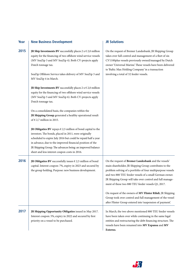| Year | <b>New Business Development</b>                                                                                                                                                                                                                                                                                                                                             | <b>JR Solutions</b>                                                                                                                                                                                                                                                                                                                                         |
|------|-----------------------------------------------------------------------------------------------------------------------------------------------------------------------------------------------------------------------------------------------------------------------------------------------------------------------------------------------------------------------------|-------------------------------------------------------------------------------------------------------------------------------------------------------------------------------------------------------------------------------------------------------------------------------------------------------------------------------------------------------------|
| 2015 | <b>JR Ship Investments BV</b> successfully places $2 \times \in 2,0$ million<br>equity for the financing of two offshore wind service vessels<br>(MV SeaZip 3 and MV SeaZip 4). Both CV-projects apply<br>Dutch tonnage tax.<br>SeaZip Offshore Service takes delivery of MV SeaZip 3 and<br>MV SeaZip 4 in March.                                                          | On the request of Bremer Landesbank, JR Shipping Group<br>takes over full control and management of a fleet of six<br>CV1100plus vessels previously owned/managed by Dutch<br>owner 'Universal Marine'. These vessels have been delivered<br>to 'Baltic Max Holding Company' in a transaction<br>involving a total of 32 feeder vessels.                    |
|      | <b>JR Ship Investments BV</b> successfully places $2 \times 2 \times 0$ million<br>equity for the financing of two offshore wind service vessels<br>(MV SeaZip 5 and MV SeaZip 6). Both CV-projects apply<br>Dutch tonnage tax.                                                                                                                                             |                                                                                                                                                                                                                                                                                                                                                             |
|      | On a consolidated basis, the companies within the<br>JR Shipping Group generated a healthy operational result<br>of $\in$ 2,7 million in 2015.                                                                                                                                                                                                                              |                                                                                                                                                                                                                                                                                                                                                             |
|      | JR Obligaties BV repays $\epsilon$ 2,5 million of bond capital to the<br>investors. The bonds, placed in 2011, were originally<br>scheduled to expire July 2016 but could be repaid half a year<br>in advance, due to the improved financial position of the<br>JR Shipping Group. The advances being: an improved balance<br>sheet and less interest coupon costs in 2016. |                                                                                                                                                                                                                                                                                                                                                             |
| 2016 | JR Obligaties BV successfully issues $\epsilon$ 2,5 million of bond<br>capital. Interest coupon: 7%, expiry in 2023 and secured by<br>the group holding. Purpose: new business development.                                                                                                                                                                                 | On the request of Bremer Landesbank and the vessels'<br>main shareholder, JR Shipping Group contributes to the<br>problem solving of a portfolio of four multipurpose vessels<br>and two 880 TEU feeder vessels of a small German owner.<br>JR Shipping Group will take over control and full manage-<br>ment of these two 880 TEU feeder vessels Q1, 2017. |
|      |                                                                                                                                                                                                                                                                                                                                                                             | On request of the owners of MV Flinter Rihdi, JR Shipping<br>Group took over control and full management of the vessel<br>after Flinter Group entered into 'suspension of payment'.                                                                                                                                                                         |
| 2017 | JR Shipping Opportunity Obligaties issued in May 2017.<br>Interest coupon: 5%, expiry in 2022 and secured by first<br>priority on a vessel to be purchased.                                                                                                                                                                                                                 | In March, the two above mentioned 880 TEU feeder vessels<br>have been taken over while continuing in the same legal<br>entities and restructuring the debt financing structure. The<br>vessels have been renamed into MV Expansa and MV<br>Externo.                                                                                                         |